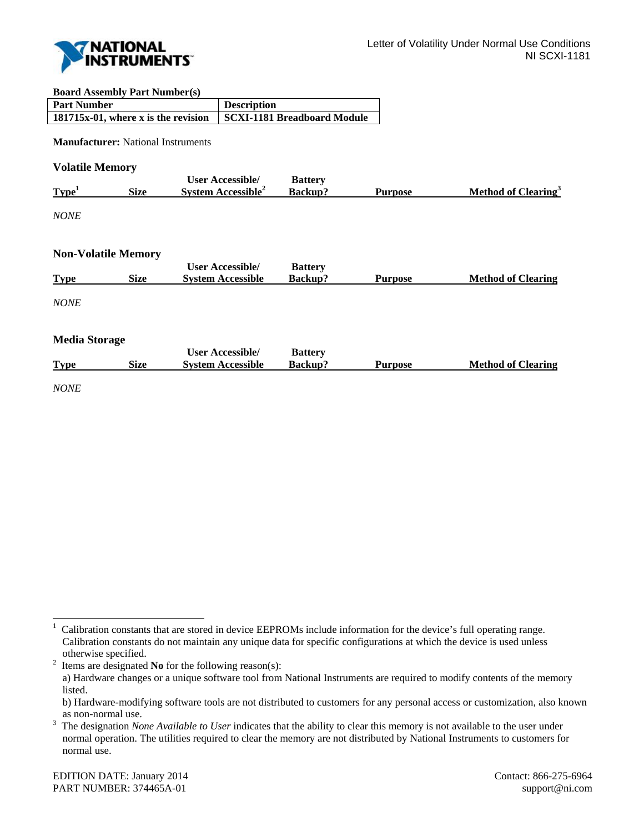

## **Board Assembly Part Number(s)**

| <b>Part Number</b>                                              | <b>Description</b> |
|-----------------------------------------------------------------|--------------------|
| 181715x-01, where x is the revision SCXI-1181 Breadboard Module |                    |

**Manufacturer:** National Instruments

**Volatile Memory** 

|                   |      | <b>User Accessible/</b>        | <b>Battery</b> |                |                                 |
|-------------------|------|--------------------------------|----------------|----------------|---------------------------------|
| Type <sup>1</sup> | Size | System Accessible <sup>2</sup> | <b>Backup?</b> | <b>Purpose</b> | Method of Clearing <sup>3</sup> |
|                   |      |                                |                |                |                                 |

*NONE* 

l

## **Non-Volatile Memory**

| <b>Type</b>          | <b>Size</b> | <b>User Accessible/</b><br><b>System Accessible</b> | <b>Battery</b><br>Backup? | <b>Purpose</b> | <b>Method of Clearing</b> |
|----------------------|-------------|-----------------------------------------------------|---------------------------|----------------|---------------------------|
| <i>NONE</i>          |             |                                                     |                           |                |                           |
| <b>Media Storage</b> |             |                                                     |                           |                |                           |
|                      |             | <b>User Accessible/</b>                             | <b>Battery</b>            |                |                           |
| <b>Type</b>          | <b>Size</b> | <b>System Accessible</b>                            | <b>Backup?</b>            | <b>Purpose</b> | <b>Method of Clearing</b> |
| <i>NONE</i>          |             |                                                     |                           |                |                           |

Items are designated **No** for the following reason(s):

<sup>1</sup> Calibration constants that are stored in device EEPROMs include information for the device's full operating range. Calibration constants do not maintain any unique data for specific configurations at which the device is used unless otherwise specified.<br><sup>2</sup> Items are designated

a) Hardware changes or a unique software tool from National Instruments are required to modify contents of the memory listed.

b) Hardware-modifying software tools are not distributed to customers for any personal access or customization, also known as non-normal use.<br> $3$  The designation  $N_Q$ 

The designation *None Available to User* indicates that the ability to clear this memory is not available to the user under normal operation. The utilities required to clear the memory are not distributed by National Instruments to customers for normal use.